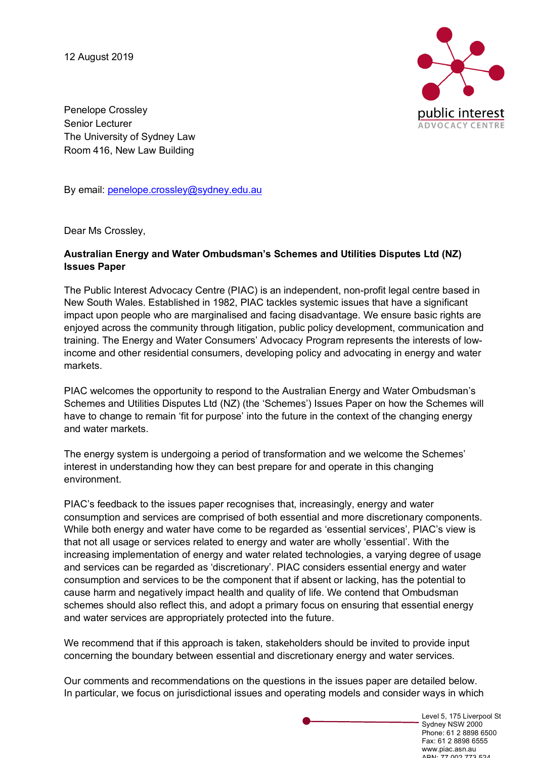12 August 2019



Penelope Crossley Senior Lecturer The University of Sydney Law Room 416, New Law Building

By email: penelope.crossley@sydney.edu.au

Dear Ms Crossley,

#### **Australian Energy and Water Ombudsman's Schemes and Utilities Disputes Ltd (NZ) Issues Paper**

The Public Interest Advocacy Centre (PIAC) is an independent, non-profit legal centre based in New South Wales. Established in 1982, PIAC tackles systemic issues that have a significant impact upon people who are marginalised and facing disadvantage. We ensure basic rights are enjoyed across the community through litigation, public policy development, communication and training. The Energy and Water Consumers' Advocacy Program represents the interests of lowincome and other residential consumers, developing policy and advocating in energy and water markets.

PIAC welcomes the opportunity to respond to the Australian Energy and Water Ombudsman's Schemes and Utilities Disputes Ltd (NZ) (the 'Schemes') Issues Paper on how the Schemes will have to change to remain 'fit for purpose' into the future in the context of the changing energy and water markets.

The energy system is undergoing a period of transformation and we welcome the Schemes' interest in understanding how they can best prepare for and operate in this changing environment.

PIAC's feedback to the issues paper recognises that, increasingly, energy and water consumption and services are comprised of both essential and more discretionary components. While both energy and water have come to be regarded as 'essential services', PIAC's view is that not all usage or services related to energy and water are wholly 'essential'. With the increasing implementation of energy and water related technologies, a varying degree of usage and services can be regarded as 'discretionary'. PIAC considers essential energy and water consumption and services to be the component that if absent or lacking, has the potential to cause harm and negatively impact health and quality of life. We contend that Ombudsman schemes should also reflect this, and adopt a primary focus on ensuring that essential energy and water services are appropriately protected into the future.

We recommend that if this approach is taken, stakeholders should be invited to provide input concerning the boundary between essential and discretionary energy and water services.

Our comments and recommendations on the questions in the issues paper are detailed below. In particular, we focus on jurisdictional issues and operating models and consider ways in which

> Level 5, 175 Liverpool St Sydney NSW 2000 Phone: 61 2 8898 6500 Fax: 61 2 8898 6555 www.piac.asn.au ABN: 77 002 773 524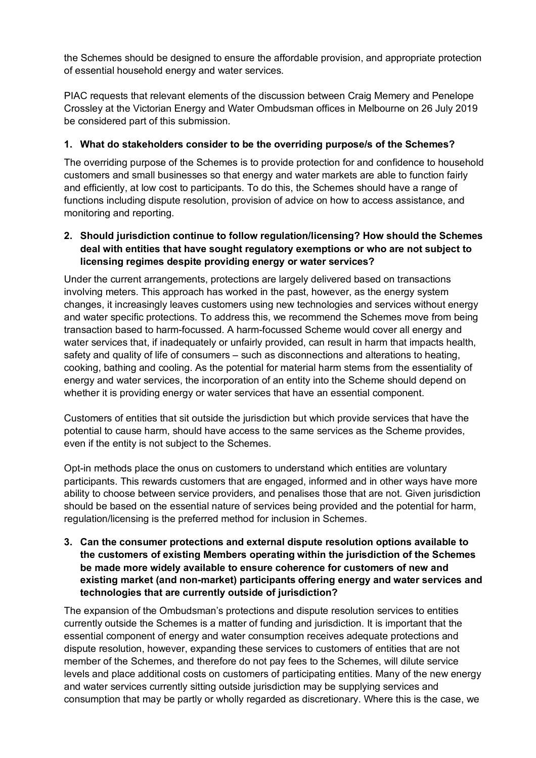the Schemes should be designed to ensure the affordable provision, and appropriate protection of essential household energy and water services.

PIAC requests that relevant elements of the discussion between Craig Memery and Penelope Crossley at the Victorian Energy and Water Ombudsman offices in Melbourne on 26 July 2019 be considered part of this submission.

# **1. What do stakeholders consider to be the overriding purpose/s of the Schemes?**

The overriding purpose of the Schemes is to provide protection for and confidence to household customers and small businesses so that energy and water markets are able to function fairly and efficiently, at low cost to participants. To do this, the Schemes should have a range of functions including dispute resolution, provision of advice on how to access assistance, and monitoring and reporting.

# **2. Should jurisdiction continue to follow regulation/licensing? How should the Schemes deal with entities that have sought regulatory exemptions or who are not subject to licensing regimes despite providing energy or water services?**

Under the current arrangements, protections are largely delivered based on transactions involving meters. This approach has worked in the past, however, as the energy system changes, it increasingly leaves customers using new technologies and services without energy and water specific protections. To address this, we recommend the Schemes move from being transaction based to harm-focussed. A harm-focussed Scheme would cover all energy and water services that, if inadequately or unfairly provided, can result in harm that impacts health, safety and quality of life of consumers – such as disconnections and alterations to heating, cooking, bathing and cooling. As the potential for material harm stems from the essentiality of energy and water services, the incorporation of an entity into the Scheme should depend on whether it is providing energy or water services that have an essential component.

Customers of entities that sit outside the jurisdiction but which provide services that have the potential to cause harm, should have access to the same services as the Scheme provides, even if the entity is not subject to the Schemes.

Opt-in methods place the onus on customers to understand which entities are voluntary participants. This rewards customers that are engaged, informed and in other ways have more ability to choose between service providers, and penalises those that are not. Given jurisdiction should be based on the essential nature of services being provided and the potential for harm, regulation/licensing is the preferred method for inclusion in Schemes.

#### **3. Can the consumer protections and external dispute resolution options available to the customers of existing Members operating within the jurisdiction of the Schemes be made more widely available to ensure coherence for customers of new and existing market (and non-market) participants offering energy and water services and technologies that are currently outside of jurisdiction?**

The expansion of the Ombudsman's protections and dispute resolution services to entities currently outside the Schemes is a matter of funding and jurisdiction. It is important that the essential component of energy and water consumption receives adequate protections and dispute resolution, however, expanding these services to customers of entities that are not member of the Schemes, and therefore do not pay fees to the Schemes, will dilute service levels and place additional costs on customers of participating entities. Many of the new energy and water services currently sitting outside jurisdiction may be supplying services and consumption that may be partly or wholly regarded as discretionary. Where this is the case, we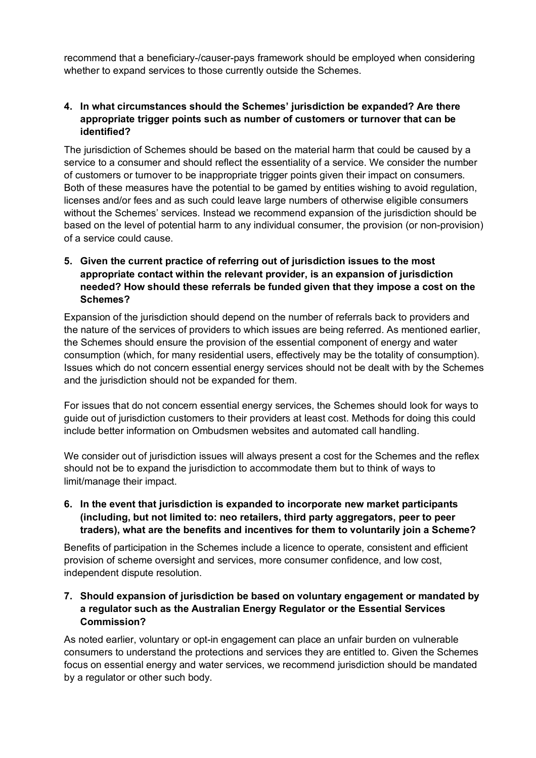recommend that a beneficiary-/causer-pays framework should be employed when considering whether to expand services to those currently outside the Schemes.

#### **4. In what circumstances should the Schemes' jurisdiction be expanded? Are there appropriate trigger points such as number of customers or turnover that can be identified?**

The jurisdiction of Schemes should be based on the material harm that could be caused by a service to a consumer and should reflect the essentiality of a service. We consider the number of customers or turnover to be inappropriate trigger points given their impact on consumers. Both of these measures have the potential to be gamed by entities wishing to avoid regulation, licenses and/or fees and as such could leave large numbers of otherwise eligible consumers without the Schemes' services. Instead we recommend expansion of the jurisdiction should be based on the level of potential harm to any individual consumer, the provision (or non-provision) of a service could cause.

# **5. Given the current practice of referring out of jurisdiction issues to the most appropriate contact within the relevant provider, is an expansion of jurisdiction needed? How should these referrals be funded given that they impose a cost on the Schemes?**

Expansion of the jurisdiction should depend on the number of referrals back to providers and the nature of the services of providers to which issues are being referred. As mentioned earlier, the Schemes should ensure the provision of the essential component of energy and water consumption (which, for many residential users, effectively may be the totality of consumption). Issues which do not concern essential energy services should not be dealt with by the Schemes and the jurisdiction should not be expanded for them.

For issues that do not concern essential energy services, the Schemes should look for ways to guide out of jurisdiction customers to their providers at least cost. Methods for doing this could include better information on Ombudsmen websites and automated call handling.

We consider out of jurisdiction issues will always present a cost for the Schemes and the reflex should not be to expand the jurisdiction to accommodate them but to think of ways to limit/manage their impact.

**6. In the event that jurisdiction is expanded to incorporate new market participants (including, but not limited to: neo retailers, third party aggregators, peer to peer traders), what are the benefits and incentives for them to voluntarily join a Scheme?** 

Benefits of participation in the Schemes include a licence to operate, consistent and efficient provision of scheme oversight and services, more consumer confidence, and low cost, independent dispute resolution.

#### **7. Should expansion of jurisdiction be based on voluntary engagement or mandated by a regulator such as the Australian Energy Regulator or the Essential Services Commission?**

As noted earlier, voluntary or opt-in engagement can place an unfair burden on vulnerable consumers to understand the protections and services they are entitled to. Given the Schemes focus on essential energy and water services, we recommend jurisdiction should be mandated by a regulator or other such body.